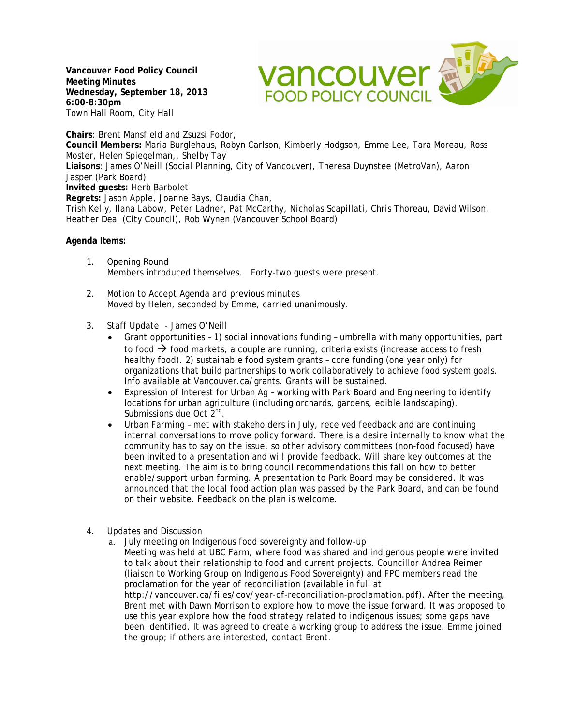**Vancouver Food Policy Council Meeting Minutes Wednesday, September 18, 2013 6:00-8:30pm** Town Hall Room, City Hall

vancouver av **FOOD POLICY COUNCIL** 

**Chairs**: Brent Mansfield and Zsuzsi Fodor, **Council Members:** Maria Burglehaus, Robyn Carlson, Kimberly Hodgson, Emme Lee, Tara Moreau, Ross Moster, Helen Spiegelman,, Shelby Tay **Liaisons**: James O'Neill (Social Planning, City of Vancouver), Theresa Duynstee (MetroVan), Aaron Jasper (Park Board) **Invited guests:** Herb Barbolet **Regrets:** Jason Apple, Joanne Bays, Claudia Chan,

Trish Kelly, Ilana Labow, Peter Ladner, Pat McCarthy, Nicholas Scapillati, Chris Thoreau, David Wilson, Heather Deal (City Council), Rob Wynen (Vancouver School Board)

## **Agenda Items:**

- 1. Opening Round Members introduced themselves. Forty-two guests were present.
- 2. Motion to Accept Agenda and previous minutes Moved by Helen, seconded by Emme, carried unanimously.
- 3. Staff Update James O'Neill
	- Grant opportunities 1) social innovations funding umbrella with many opportunities, part to food  $\rightarrow$  food markets, a couple are running, criteria exists (increase access to fresh healthy food). 2) sustainable food system grants – core funding (one year only) for organizations that build partnerships to work collaboratively to achieve food system goals. Info available at Vancouver.ca/grants. Grants will be sustained.
	- Expression of Interest for Urban Ag working with Park Board and Engineering to identify locations for urban agriculture (including orchards, gardens, edible landscaping). Submissions due Oct 2<sup>nd</sup>.
	- Urban Farming met with stakeholders in July, received feedback and are continuing internal conversations to move policy forward. There is a desire internally to know what the community has to say on the issue, so other advisory committees (non-food focused) have been invited to a presentation and will provide feedback. Will share key outcomes at the next meeting. The aim is to bring council recommendations this fall on how to better enable/support urban farming. A presentation to Park Board may be considered. It was announced that the local food action plan was passed by the Park Board, and can be found on their website. Feedback on the plan is welcome.
- 4. Updates and Discussion
	- a. July meeting on Indigenous food sovereignty and follow-up Meeting was held at UBC Farm, where food was shared and indigenous people were invited to talk about their relationship to food and current projects. Councillor Andrea Reimer (liaison to Working Group on Indigenous Food Sovereignty) and FPC members read the proclamation for the year of reconciliation (available in full at http://vancouver.ca/files/cov/year-of-reconciliation-proclamation.pdf). After the meeting, Brent met with Dawn Morrison to explore how to move the issue forward. It was proposed to use this year explore how the food strategy related to indigenous issues; some gaps have been identified. It was agreed to create a working group to address the issue. Emme joined the group; if others are interested, contact Brent.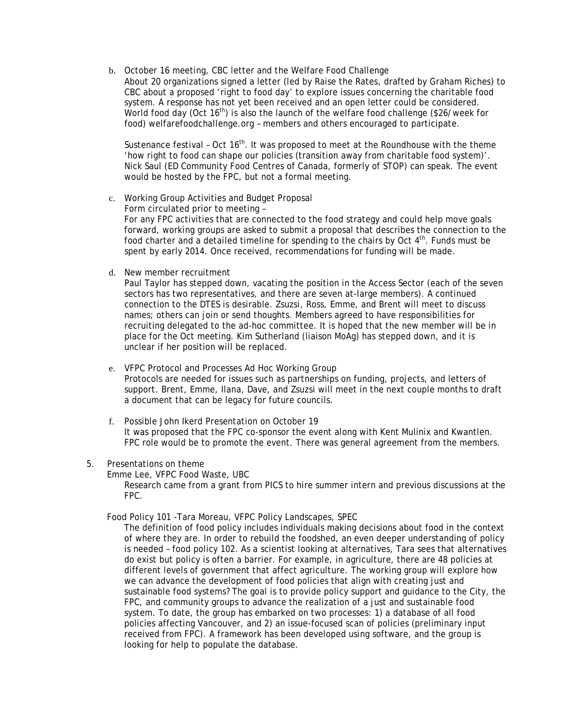b. October 16 meeting, CBC letter and the Welfare Food Challenge About 20 organizations signed a letter (led by Raise the Rates, drafted by Graham Riches) to CBC about a proposed 'right to food day' to explore issues concerning the charitable food system. A response has not yet been received and an open letter could be considered. World food day (Oct  $16^{th}$ ) is also the launch of the welfare food challenge (\$26/week for food) welfarefoodchallenge.org – members and others encouraged to participate.

Sustenance festival - Oct  $16<sup>th</sup>$ . It was proposed to meet at the Roundhouse with the theme 'how right to food can shape our policies (transition away from charitable food system)'. Nick Saul (ED Community Food Centres of Canada, formerly of STOP) can speak. The event would be hosted by the FPC, but not a formal meeting.

c. Working Group Activities and Budget Proposal Form circulated prior to meeting – For any FPC activities that are connected to the food strategy and could help move goals forward, working groups are asked to submit a proposal that describes the connection to the food charter and a detailed timeline for spending to the chairs by Oct  $4<sup>th</sup>$ . Funds must be spent by early 2014. Once received, recommendations for funding will be made.

d. New member recruitment

Paul Taylor has stepped down, vacating the position in the Access Sector (each of the seven sectors has two representatives, and there are seven at-large members). A continued connection to the DTES is desirable. Zsuzsi, Ross, Emme, and Brent will meet to discuss names; others can join or send thoughts. Members agreed to have responsibilities for recruiting delegated to the ad-hoc committee. It is hoped that the new member will be in place for the Oct meeting. Kim Sutherland (liaison MoAg) has stepped down, and it is unclear if her position will be replaced.

- e. VFPC Protocol and Processes Ad Hoc Working Group Protocols are needed for issues such as partnerships on funding, projects, and letters of support. Brent, Emme, Ilana, Dave, and Zsuzsi will meet in the next couple months to draft a document that can be legacy for future councils.
- f. Possible John Ikerd Presentation on October 19 It was proposed that the FPC co-sponsor the event along with Kent Mulinix and Kwantlen. FPC role would be to promote the event. There was general agreement from the members.

## 5. Presentations on theme

Emme Lee, VFPC Food Waste, UBC

Research came from a grant from PICS to hire summer intern and previous discussions at the FPC.

## Food Policy 101 -Tara Moreau, VFPC Policy Landscapes, SPEC

The definition of food policy includes individuals making decisions about food in the context of where they are. In order to rebuild the foodshed, an even deeper understanding of policy is needed – food policy 102. As a scientist looking at alternatives, Tara sees that alternatives do exist but policy is often a barrier. For example, in agriculture, there are 48 policies at different levels of government that affect agriculture. The working group will explore how we can advance the development of food policies that align with creating just and sustainable food systems? The goal is to provide policy support and guidance to the City, the FPC, and community groups to advance the realization of a just and sustainable food system. To date, the group has embarked on two processes: 1) a database of all food policies affecting Vancouver, and 2) an issue-focused scan of policies (preliminary input received from FPC). A framework has been developed using software, and the group is looking for help to populate the database.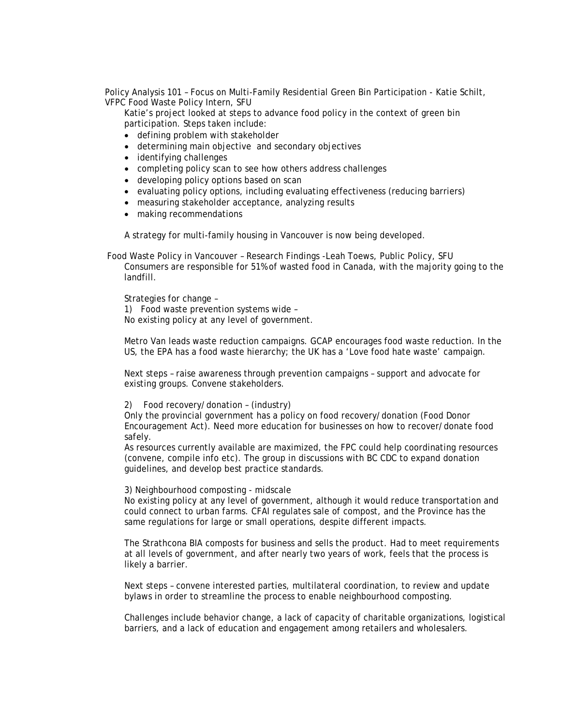Policy Analysis 101 – Focus on Multi-Family Residential Green Bin Participation - Katie Schilt, VFPC Food Waste Policy Intern, SFU

Katie's project looked at steps to advance food policy in the context of green bin participation. Steps taken include:

- defining problem with stakeholder
- determining main objective and secondary objectives
- identifying challenges
- completing policy scan to see how others address challenges
- developing policy options based on scan
- evaluating policy options, including evaluating effectiveness (reducing barriers)
- measuring stakeholder acceptance, analyzing results
- making recommendations

A strategy for multi-family housing in Vancouver is now being developed.

Food Waste Policy in Vancouver – Research Findings -Leah Toews, Public Policy, SFU Consumers are responsible for 51% of wasted food in Canada, with the majority going to the landfill.

Strategies for change – 1) Food waste prevention systems wide – No existing policy at any level of government.

Metro Van leads waste reduction campaigns. GCAP encourages food waste reduction. In the US, the EPA has a food waste hierarchy; the UK has a 'Love food hate waste' campaign.

Next steps – raise awareness through prevention campaigns – support and advocate for existing groups. Convene stakeholders.

## 2) Food recovery/donation – (industry)

Only the provincial government has a policy on food recovery/donation (Food Donor Encouragement Act). Need more education for businesses on how to recover/donate food safely.

As resources currently available are maximized, the FPC could help coordinating resources (convene, compile info etc). The group in discussions with BC CDC to expand donation guidelines, and develop best practice standards.

3) Neighbourhood composting - midscale

No existing policy at any level of government, although it would reduce transportation and could connect to urban farms. CFAI regulates sale of compost, and the Province has the same regulations for large or small operations, despite different impacts.

The Strathcona BIA composts for business and sells the product. Had to meet requirements at all levels of government, and after nearly two years of work, feels that the process is likely a barrier.

Next steps – convene interested parties, multilateral coordination, to review and update bylaws in order to streamline the process to enable neighbourhood composting.

Challenges include behavior change, a lack of capacity of charitable organizations, logistical barriers, and a lack of education and engagement among retailers and wholesalers.